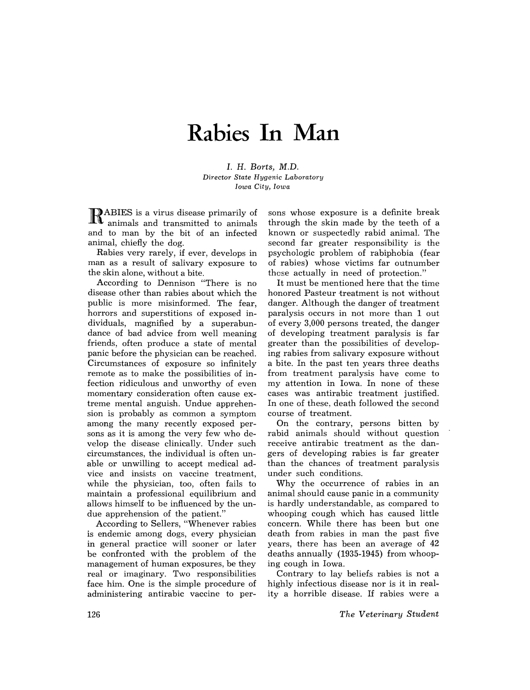## **Rabies In Man**

I. H. *Borts, M.D. Director State Hygenic Laboratory Iowa City, Iowa* 

RABIES is a virus disease primarily of animals and transmitted to animals and to man by the bit of an infected animal, chiefly the dog.

Rabies very rarely, if ever, develops in man as a result of salivary exposure to the skin alone, without a bite.

According to Dennison "There is no disease other than rabies about which the public is more misinformed. The fear, horrors and superstitions of exposed individuals, magnified by a superabundance of bad advice from well meaning friends, often produce a state of mental panic before the physician can be reached. Circumstances of exposure so infinitely remote as to make the possibilities of infection ridiculous and unworthy of even momentary consideration often cause extreme mental anguish. Undue apprehension is probably as common a symptom among the many recently exposed persons as it is among the very few who develop the disease clinically. Under such circumstances, the individual is often unable or unwilling to accept medical advice and insists on vaccine treatment, while the physician, too, often fails to maintain a professional equilibrium and allows himself to be influenced by the undue apprehension of the patient."

According to Sellers, "Whenever rabies is endemic among dogs, every physician in general practice will sooner or later be confronted with the problem of the management of human exposures, be they real or imaginary. Two responsibilities face him. One is the simple procedure of administering antirabic vaccine to persons whose exposure is a definite break through the skin made by the teeth of a known or suspectedly rabid animal. The second far greater responsibility is the psychologic problem of rabiphobia (fear of rabies) whose victims far outnumber these actually in need of protection."

It must be mentioned here that the time honored Pasteur treatment is not without danger. Although the danger of treatment paralysis occurs in not more than 1 out of every 3,000 persons treated, the danger of developing treatment paralysis is far greater than the possibilities of developing rabies from salivary exposure without a bite. In the past ten years three deaths from treatment paralysis have come to my attention in Iowa. In none of these cases was antirabic treatment justified. In one of these, death followed the second course of treatment.

On the contrary, persons bitten by rabid animals should without question receive antirabic treatment as the dangers of developing rabies is far greater than the chances of treatment paralysis under such conditions.

Why the occurrence of rabies in an animal should cause panic in a community is hardly understandable, as compared to whooping cough which has caused little concern. While there has been but one death from rabies in man the past five years, there has been an average of 42 deaths annually (1935-1945) from whooping cough in Iowa.

Contrary to lay beliefs rabies is not a highly infectious disease nor is it in reality a horrible disease. If rabies were a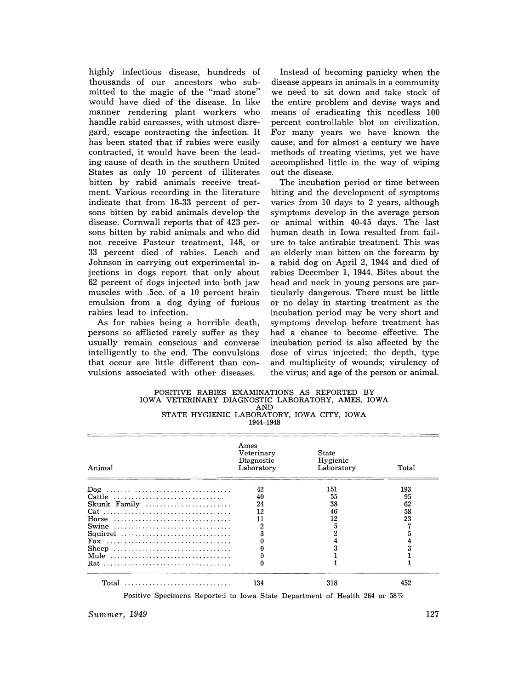highly infectious disease, hundreds of thousands of our ancestors who submitted to the magic of the "mad stone" would have died of the disease. In like manner rendering plant workers who handle rabid carcasses, with utmost disregard, escape contracting the infection. It has been stated that if rabies were easily contracted, it would have been the leading cause of death in the southern United States as only 10 percent of illiterates bitten by rabid animals receive treatment. Various recording in the literature indicate that from 16-33 percent of persons bitten by rabid animals develop the disease. Cornwall reports that of 423 persons bitten by rabid animals and who did not receive Pasteur treatment, 148, or 33 percent died of rabies. Leach and Johnson in carrying out experimental injections in dogs report that only about 62 percent of dogs injected into both jaw muscles with .5cc. of a 10 percent brain emulsion from a dog dying of furious rabies lead to infection.

As for rabies being a horrible death, persons so afflicted rarely suffer as they usually remain conscious and converse intelligently to the end. The convulsions that occur are little different than convulsions associated with other diseases.

Instead of becoming panicky when the disease appears in animals in a community we need to sit down and take stock of the entire problem and devise ways and means of eradicating this needless 100 percent controllable blot on civilization. For many years we have known the cause, and for almost a century we have methods of treating victims, yet we have accomplished little in the way of wiping out the disease.

The incubation period or time between biting and the development of symptoms varies from 10 days to 2 years, although symptoms develop in the average person or animal within 40-45 days. The last human death in Iowa resulted from failure to take antirabic treatment. This was an elderly man bitten on the forearm by a rabid dog on April 2, 1944 and died of rabies December **1,** 1944. Bites about the head and neck in young persons are particularly dangerous. There must be little or no delay in starting treatment as the incubation period may be very short and symptoms develop before treatment has had a chance to become effective. The incu bation period is also affected by the dose of virus injected; the depth, type and multiplicity of wounds; virulency of the virus; and age of the person or animal.

| POSITIVE RABIES EXAMINATIONS AS REPORTED BY       |
|---------------------------------------------------|
| IOWA VETERINARY DIAGNOSTIC LABORATORY, AMES, IOWA |
| AND.                                              |
| STATE HYGIENIC LABORATORY, IOWA CITY, IOWA        |
| 1944–1948                                         |

| Animal       | Ames<br>Veterinary<br>Diagnostic<br>Laboratory | <b>State</b><br>Hygienic<br>Laboratory | Total |  |
|--------------|------------------------------------------------|----------------------------------------|-------|--|
|              | 42                                             | 151                                    | 193   |  |
| Cattle       | 40                                             | 55                                     | 95    |  |
| Skunk Family | 24                                             | 38                                     | 62    |  |
|              | 12                                             | 46                                     | 58    |  |
| Horse        | 11                                             | 12                                     | 23    |  |
| Swine        | 2                                              | 5                                      |       |  |
| Squirrel     |                                                |                                        |       |  |
|              |                                                |                                        |       |  |
| Sheep        |                                                |                                        |       |  |
| Mule         |                                                |                                        |       |  |
|              |                                                |                                        |       |  |
| Total        | 134                                            | 318                                    | 452   |  |

Positive Specimens Reported to Iowa State Department of Health 264 or 58%

*Summer, 1949* 127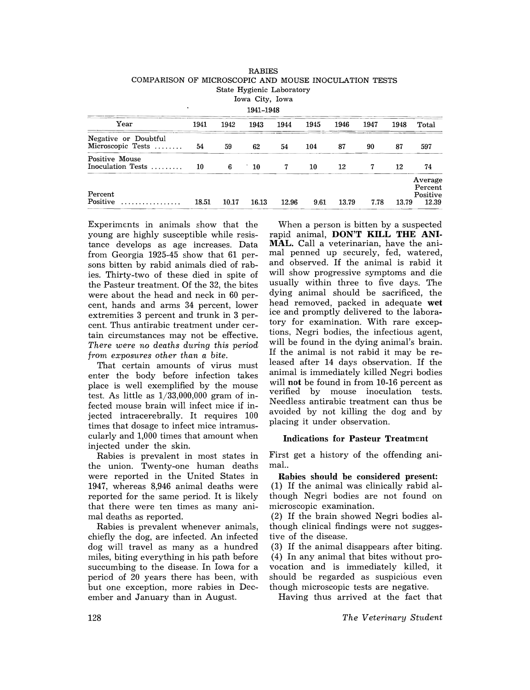| COMPARISON OF MICROSCOPIC AND MOUSE INOCULATION TESTS<br>State Hygienic Laboratory<br>Iowa City, Iowa |       |       |            |       |      |       |      |       |                                         |  |  |
|-------------------------------------------------------------------------------------------------------|-------|-------|------------|-------|------|-------|------|-------|-----------------------------------------|--|--|
| ٠<br>1941-1948                                                                                        |       |       |            |       |      |       |      |       |                                         |  |  |
| Year                                                                                                  | 1941  | 1942  | 1943       | 1944  | 1945 | 1946  | 1947 | 1948  | Total                                   |  |  |
| Negative or Doubtful<br>Microscopic Tests                                                             | 54    | 59    | 62         | 54    | 104  | 87    | 90   | 87    | 597                                     |  |  |
| Positive Mouse<br>Inoculation Tests                                                                   | 10    | 6     | $\cdot$ 10 | 7     | 10   | 12    | 7    | 12    | 74                                      |  |  |
| Percent<br>Positive                                                                                   | 18.51 | 10.17 | 16.13      | 12.96 | 9.61 | 13.79 | 7.78 | 13.79 | Average<br>Percent<br>Positive<br>12.39 |  |  |

RABIES

Experiments in animals show that the young are highly susceptible while resistance develops as age increases. Data from Georgia 1925-45 show that 61 persons bitten by rabid animals died of rabies. Thirty-two of these died in spite of the Pasteur treatment. Of the 32, the bites were about the head and neck in 60 percent, hands and arms 34 percent, lower extremities 3 percent and trunk in 3 percent. Thus antirabic treatment under certain circumstances may not be effective. *There were no deaths during this period from exposures other than a bite.* 

That certain amounts of virus must enter the body before infection takes place is well exemplified by the mouse test. As little as  $1/33,000,000$  gram of infected mouse brain will infect mice if injected intracerebrally. It requires 100 times that dosage to infect mice intramuscularly and 1,000 times that amount when injected under the skin.

Rabies is prevalent in most states in the union. Twenty-one human deaths were reported in the United States in 1947, whereas 8,946 animal deaths were reported for the same period. It is likely that there were ten times as many animal deaths as reported.

Rabies is prevalent whenever animals, chiefly the dog, are infected. An infected dog will travel as many as a hundred miles, biting everything in his path before succumbing to the disease. In Iowa for a period of 20 years there has been, with but one exception, more rabies in December and January than in August.

When a person is bitten by a suspected rapid animal, DON'T KILL THE ANI-MAL. Call a veterinarian, have the animal penned up securely, fed, watered, and observed. If the animal is rabid it will show progressive symptoms and die usually within three to five days. The dying animal should be sacrificed, the head removed, packed in adequate wet ice and promptly delivered to the laboratory for examination. With rare exceptions, Negri bodies, the infectious agent, will be found in the dying animal's brain. If the animal is not rabid it may be released after 14 days observation. If the animal is immediately killed Negri bodies will not be found in from 10-16 percent as verified by mouse inoculation tests. Needless antirabic treatment can thus be avoided by not killing the dog and by placing it under observation.

## Indications for Pasteur Treatment

First get a history of the offending animal..

Rabies should be considered present: (1) If the animal was clinically rabid although Negri bodies are not found on microscopic examination.

(2) If the brain showed Negri bodies although clinical findings were not suggestive of the disease.

(3) If the animal disappears after biting. (4) In any animal that bites without provocation and is immediately killed, it should be regarded as suspicious even though microscopic tests are negative.

Having thus arrived at the fact that